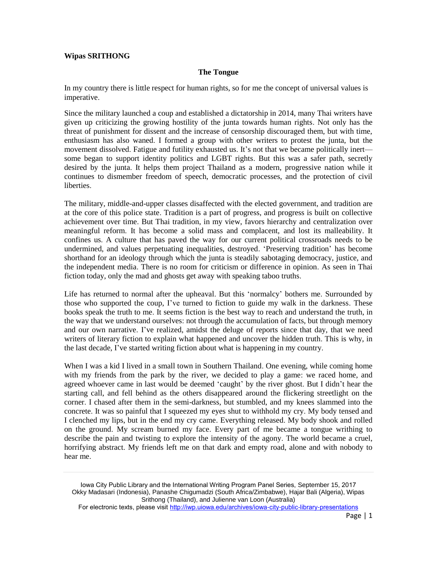## **Wipas SRITHONG**

## **The Tongue**

In my country there is little respect for human rights, so for me the concept of universal values is imperative.

Since the military launched a coup and established a dictatorship in 2014, many Thai writers have given up criticizing the growing hostility of the junta towards human rights. Not only has the threat of punishment for dissent and the increase of censorship discouraged them, but with time, enthusiasm has also waned. I formed a group with other writers to protest the junta, but the movement dissolved. Fatigue and futility exhausted us. It's not that we became politically inert some began to support identity politics and LGBT rights. But this was a safer path, secretly desired by the junta. It helps them project Thailand as a modern, progressive nation while it continues to dismember freedom of speech, democratic processes, and the protection of civil liberties.

The military, middle-and-upper classes disaffected with the elected government, and tradition are at the core of this police state. Tradition is a part of progress, and progress is built on collective achievement over time. But Thai tradition, in my view, favors hierarchy and centralization over meaningful reform. It has become a solid mass and complacent, and lost its malleability. It confines us. A culture that has paved the way for our current political crossroads needs to be undermined, and values perpetuating inequalities, destroyed. 'Preserving tradition' has become shorthand for an ideology through which the junta is steadily sabotaging democracy, justice, and the independent media. There is no room for criticism or difference in opinion. As seen in Thai fiction today, only the mad and ghosts get away with speaking taboo truths.

Life has returned to normal after the upheaval. But this 'normalcy' bothers me. Surrounded by those who supported the coup, I've turned to fiction to guide my walk in the darkness. These books speak the truth to me. It seems fiction is the best way to reach and understand the truth, in the way that we understand ourselves: not through the accumulation of facts, but through memory and our own narrative. I've realized, amidst the deluge of reports since that day, that we need writers of literary fiction to explain what happened and uncover the hidden truth. This is why, in the last decade, I've started writing fiction about what is happening in my country.

When I was a kid I lived in a small town in Southern Thailand. One evening, while coming home with my friends from the park by the river, we decided to play a game: we raced home, and agreed whoever came in last would be deemed 'caught' by the river ghost. But I didn't hear the starting call, and fell behind as the others disappeared around the flickering streetlight on the corner. I chased after them in the semi-darkness, but stumbled, and my knees slammed into the concrete. It was so painful that I squeezed my eyes shut to withhold my cry. My body tensed and I clenched my lips, but in the end my cry came. Everything released. My body shook and rolled on the ground. My scream burned my face. Every part of me became a tongue writhing to describe the pain and twisting to explore the intensity of the agony. The world became a cruel, horrifying abstract. My friends left me on that dark and empty road, alone and with nobody to hear me.

Iowa City Public Library and the International Writing Program Panel Series, September 15, 2017 Okky Madasari (Indonesia), Panashe Chigumadzi (South Africa/Zimbabwe), Hajar Bali (Algeria), Wipas Srithong (Thailand), and Julienne van Loon (Australia)

For electronic texts, please visit<http://iwp.uiowa.edu/archives/iowa-city-public-library-presentations>